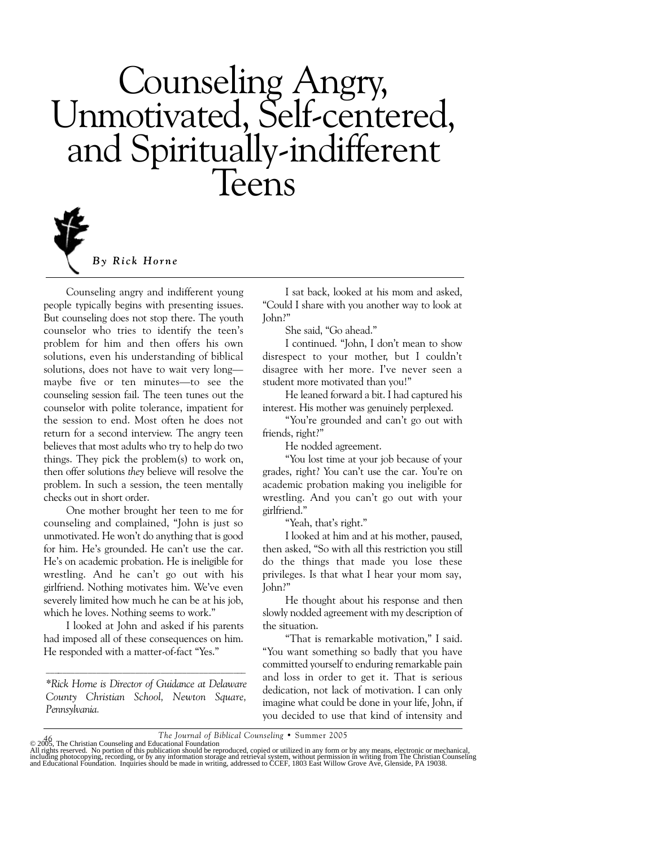# Counseling Angry, Unmotivated, Self-centered, and Spiritually-indifferent Teens



*By Rick Horne*

Counseling angry and indifferent young people typically begins with presenting issues. But counseling does not stop there. The youth counselor who tries to identify the teen's problem for him and then offers his own solutions, even his understanding of biblical solutions, does not have to wait very long maybe five or ten minutes—to see the counseling session fail. The teen tunes out the counselor with polite tolerance, impatient for the session to end. Most often he does not return for a second interview. The angry teen believes that most adults who try to help do two things. They pick the problem(s) to work on, then offer solutions *they* believe will resolve the problem. In such a session, the teen mentally checks out in short order.

One mother brought her teen to me for counseling and complained, "John is just so unmotivated. He won't do anything that is good for him. He's grounded. He can't use the car. He's on academic probation. He is ineligible for wrestling. And he can't go out with his girlfriend. Nothing motivates him. We've even severely limited how much he can be at his job, which he loves. Nothing seems to work."

I looked at John and asked if his parents had imposed all of these consequences on him. He responded with a matter-of-fact "Yes."

*\*Rick Horne is Director of Guidance at Delaware County Christian School, Newton Square, Pennsylvania.*

 $\mathcal{L}_\text{max}$  and the contract of the contract of the contract of the contract of the contract of the contract of the contract of the contract of the contract of the contract of the contract of the contract of the contrac

I sat back, looked at his mom and asked, "Could I share with you another way to look at John?"

She said, "Go ahead."

I continued. "John, I don't mean to show disrespect to your mother, but I couldn't disagree with her more. I've never seen a student more motivated than you!"

He leaned forward a bit. I had captured his interest. His mother was genuinely perplexed.

"You're grounded and can't go out with friends, right?"

He nodded agreement.

"You lost time at your job because of your grades, right? You can't use the car. You're on academic probation making you ineligible for wrestling. And you can't go out with your girlfriend."

"Yeah, that's right."

I looked at him and at his mother, paused, then asked, "So with all this restriction you still do the things that made you lose these privileges. Is that what I hear your mom say, John?"

He thought about his response and then slowly nodded agreement with my description of the situation.

"That is remarkable motivation," I said. "You want something so badly that you have committed yourself to enduring remarkable pain and loss in order to get it. That is serious dedication, not lack of motivation. I can only imagine what could be done in your life, John, if you decided to use that kind of intensity and

The Journal of Biblical Counseling • Summer 2005<br>All rights reserved. No portion of this publication foundation<br>All rights reserved. No portion of this publication should be reproduced, copied or utilized in any form or by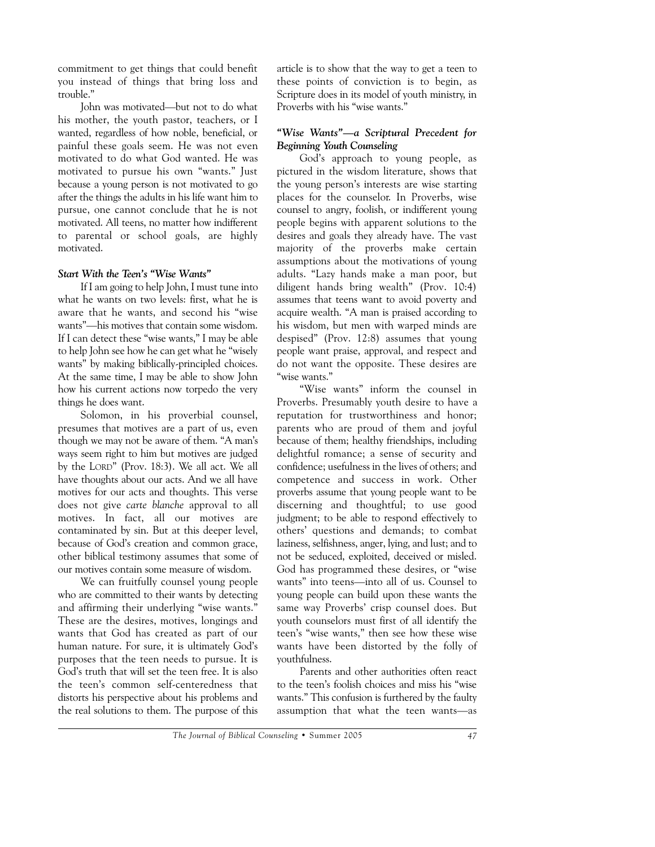commitment to get things that could benefit you instead of things that bring loss and trouble."

John was motivated—but not to do what his mother, the youth pastor, teachers, or I wanted, regardless of how noble, beneficial, or painful these goals seem. He was not even motivated to do what God wanted. He was motivated to pursue his own "wants." Just because a young person is not motivated to go after the things the adults in his life want him to pursue, one cannot conclude that he is not motivated. All teens, no matter how indifferent to parental or school goals, are highly motivated.

# *Start With the Teen's "Wise Wants"*

If I am going to help John, I must tune into what he wants on two levels: first, what he is aware that he wants, and second his "wise wants"—his motives that contain some wisdom. If I can detect these "wise wants," I may be able to help John see how he can get what he "wisely wants" by making biblically-principled choices. At the same time, I may be able to show John how his current actions now torpedo the very things he does want.

Solomon, in his proverbial counsel, presumes that motives are a part of us, even though we may not be aware of them. "A man's ways seem right to him but motives are judged by the LORD" (Prov. 18:3). We all act. We all have thoughts about our acts. And we all have motives for our acts and thoughts. This verse does not give *carte blanche* approval to all motives. In fact, all our motives are contaminated by sin. But at this deeper level, because of God's creation and common grace, other biblical testimony assumes that some of our motives contain some measure of wisdom.

We can fruitfully counsel young people who are committed to their wants by detecting and affirming their underlying "wise wants." These are the desires, motives, longings and wants that God has created as part of our human nature. For sure, it is ultimately God's purposes that the teen needs to pursue. It is God's truth that will set the teen free. It is also the teen's common self-centeredness that distorts his perspective about his problems and the real solutions to them. The purpose of this article is to show that the way to get a teen to these points of conviction is to begin, as Scripture does in its model of youth ministry, in Proverbs with his "wise wants."

# *"Wise Wants"—a Scriptural Precedent for Beginning Youth Counseling*

God's approach to young people, as pictured in the wisdom literature, shows that the young person's interests are wise starting places for the counselor. In Proverbs, wise counsel to angry, foolish, or indifferent young people begins with apparent solutions to the desires and goals they already have. The vast majority of the proverbs make certain assumptions about the motivations of young adults. "Lazy hands make a man poor, but diligent hands bring wealth" (Prov. 10:4) assumes that teens want to avoid poverty and acquire wealth. "A man is praised according to his wisdom, but men with warped minds are despised" (Prov. 12:8) assumes that young people want praise, approval, and respect and do not want the opposite. These desires are "wise wants."

"Wise wants" inform the counsel in Proverbs. Presumably youth desire to have a reputation for trustworthiness and honor; parents who are proud of them and joyful because of them; healthy friendships, including delightful romance; a sense of security and confidence; usefulness in the lives of others; and competence and success in work. Other proverbs assume that young people want to be discerning and thoughtful; to use good judgment; to be able to respond effectively to others' questions and demands; to combat laziness, selfishness, anger, lying, and lust; and to not be seduced, exploited, deceived or misled. God has programmed these desires, or "wise wants" into teens—into all of us. Counsel to young people can build upon these wants the same way Proverbs' crisp counsel does. But youth counselors must first of all identify the teen's "wise wants," then see how these wise wants have been distorted by the folly of youthfulness.

Parents and other authorities often react to the teen's foolish choices and miss his "wise wants." This confusion is furthered by the faulty assumption that what the teen wants—as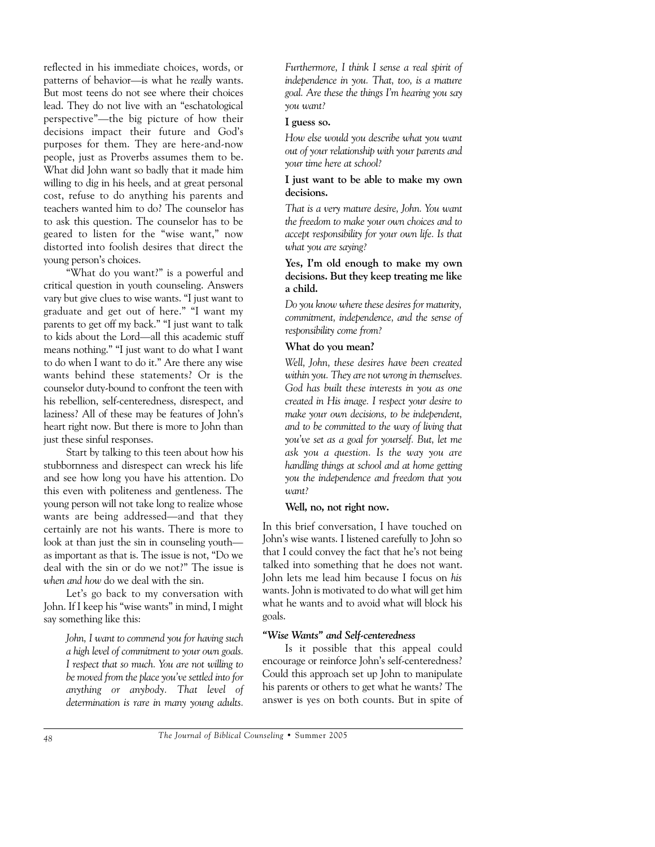reflected in his immediate choices, words, or patterns of behavior—is what he *really* wants. But most teens do not see where their choices lead. They do not live with an "eschatological perspective"—the big picture of how their decisions impact their future and God's purposes for them. They are here-and-now people, just as Proverbs assumes them to be. What did John want so badly that it made him willing to dig in his heels, and at great personal cost, refuse to do anything his parents and teachers wanted him to do? The counselor has to ask this question. The counselor has to be geared to listen for the "wise want," now distorted into foolish desires that direct the young person's choices.

"What do you want?" is a powerful and critical question in youth counseling. Answers vary but give clues to wise wants. "I just want to graduate and get out of here." "I want my parents to get off my back." "I just want to talk to kids about the Lord—all this academic stuff means nothing." "I just want to do what I want to do when I want to do it." Are there any wise wants behind these statements? Or is the counselor duty-bound to confront the teen with his rebellion, self-centeredness, disrespect, and laziness? All of these may be features of John's heart right now. But there is more to John than just these sinful responses.

Start by talking to this teen about how his stubbornness and disrespect can wreck his life and see how long you have his attention. Do this even with politeness and gentleness. The young person will not take long to realize whose wants are being addressed—and that they certainly are not his wants. There is more to look at than just the sin in counseling youth as important as that is. The issue is not, "Do we deal with the sin or do we not?" The issue is *when and how* do we deal with the sin.

Let's go back to my conversation with John. If I keep his "wise wants" in mind, I might say something like this:

> *John, I want to commend you for having such a high level of commitment to your own goals. I respect that so much. You are not willing to be moved from the place you've settled into for anything or anybody. That level of determination is rare in many young adults.*

*Furthermore, I think I sense a real spirit of independence in you. That, too, is a mature goal. Are these the things I'm hearing you say you want?*

#### **I guess so.**

*How else would you describe what you want out of your relationship with your parents and your time here at school?*

#### **I just want to be able to make my own decisions.**

*That is a very mature desire, John. You want the freedom to make your own choices and to accept responsibility for your own life. Is that what you are saying?*

#### **Yes, I'm old enough to make my own decisions. But they keep treating me like a child.**

*Do you know where these desires for maturity, commitment, independence, and the sense of responsibility come from?*

#### **What do you mean?**

*Well, John, these desires have been created within you. They are not wrong in themselves. God has built these interests in you as one created in His image. I respect your desire to make your own decisions, to be independent, and to be committed to the way of living that you've set as a goal for yourself. But, let me ask you a question. Is the way you are handling things at school and at home getting you the independence and freedom that you want?*

#### **Well, no, not right now.**

In this brief conversation, I have touched on John's wise wants. I listened carefully to John so that I could convey the fact that he's not being talked into something that he does not want. John lets me lead him because I focus on *his* wants. John is motivated to do what will get him what he wants and to avoid what will block his goals.

#### *"Wise Wants" and Self-centeredness*

Is it possible that this appeal could encourage or reinforce John's self-centeredness? Could this approach set up John to manipulate his parents or others to get what he wants? The answer is yes on both counts. But in spite of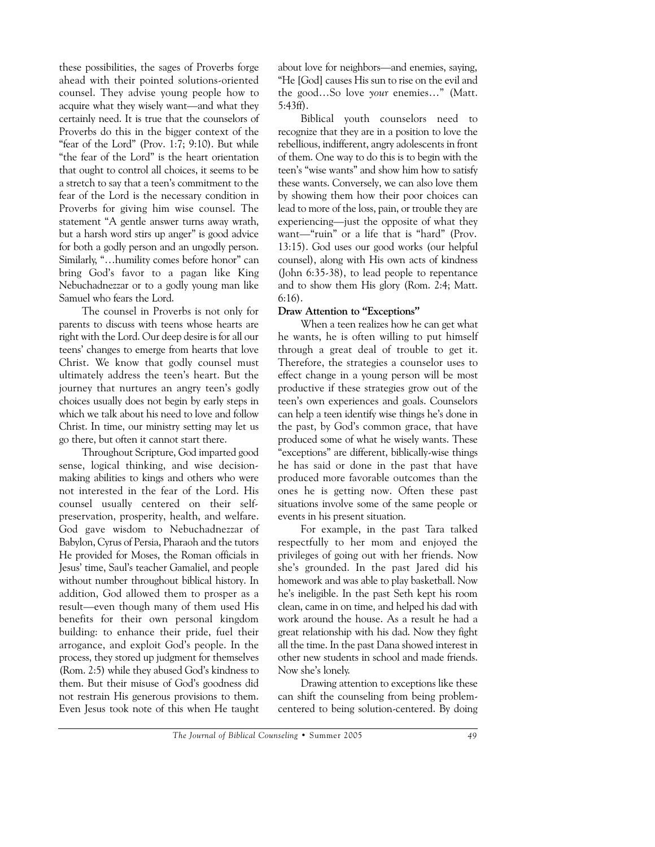these possibilities, the sages of Proverbs forge ahead with their pointed solutions-oriented counsel. They advise young people how to acquire what they wisely want—and what they certainly need. It is true that the counselors of Proverbs do this in the bigger context of the "fear of the Lord" (Prov. 1:7; 9:10). But while "the fear of the Lord" is the heart orientation that ought to control all choices, it seems to be a stretch to say that a teen's commitment to the fear of the Lord is the necessary condition in Proverbs for giving him wise counsel. The statement "A gentle answer turns away wrath, but a harsh word stirs up anger" is good advice for both a godly person and an ungodly person. Similarly, "…humility comes before honor" can bring God's favor to a pagan like King Nebuchadnezzar or to a godly young man like Samuel who fears the Lord.

The counsel in Proverbs is not only for parents to discuss with teens whose hearts are right with the Lord. Our deep desire is for all our teens' changes to emerge from hearts that love Christ. We know that godly counsel must ultimately address the teen's heart. But the journey that nurtures an angry teen's godly choices usually does not begin by early steps in which we talk about his need to love and follow Christ. In time, our ministry setting may let us go there, but often it cannot start there.

Throughout Scripture, God imparted good sense, logical thinking, and wise decisionmaking abilities to kings and others who were not interested in the fear of the Lord. His counsel usually centered on their selfpreservation, prosperity, health, and welfare. God gave wisdom to Nebuchadnezzar of Babylon, Cyrus of Persia, Pharaoh and the tutors He provided for Moses, the Roman officials in Jesus' time, Saul's teacher Gamaliel, and people without number throughout biblical history. In addition, God allowed them to prosper as a result—even though many of them used His benefits for their own personal kingdom building: to enhance their pride, fuel their arrogance, and exploit God's people. In the process, they stored up judgment for themselves (Rom. 2:5) while they abused God's kindness to them. But their misuse of God's goodness did not restrain His generous provisions to them. Even Jesus took note of this when He taught about love for neighbors—and enemies, saying, "He [God] causes His sun to rise on the evil and the good…So love *your* enemies…" (Matt. 5:43ff).

Biblical youth counselors need to recognize that they are in a position to love the rebellious, indifferent, angry adolescents in front of them. One way to do this is to begin with the teen's "wise wants" and show him how to satisfy these wants. Conversely, we can also love them by showing them how their poor choices can lead to more of the loss, pain, or trouble they are experiencing—just the opposite of what they want—"ruin" or a life that is "hard" (Prov. 13:15). God uses our good works (our helpful counsel), along with His own acts of kindness (John 6:35-38), to lead people to repentance and to show them His glory (Rom. 2:4; Matt. 6:16).

#### **Draw Attention to "Exceptions"**

When a teen realizes how he can get what he wants, he is often willing to put himself through a great deal of trouble to get it. Therefore, the strategies a counselor uses to effect change in a young person will be most productive if these strategies grow out of the teen's own experiences and goals. Counselors can help a teen identify wise things he's done in the past, by God's common grace, that have produced some of what he wisely wants. These "exceptions" are different, biblically-wise things he has said or done in the past that have produced more favorable outcomes than the ones he is getting now. Often these past situations involve some of the same people or events in his present situation.

For example, in the past Tara talked respectfully to her mom and enjoyed the privileges of going out with her friends. Now she's grounded. In the past Jared did his homework and was able to play basketball. Now he's ineligible. In the past Seth kept his room clean, came in on time, and helped his dad with work around the house. As a result he had a great relationship with his dad. Now they fight all the time. In the past Dana showed interest in other new students in school and made friends. Now she's lonely.

Drawing attention to exceptions like these can shift the counseling from being problemcentered to being solution-centered. By doing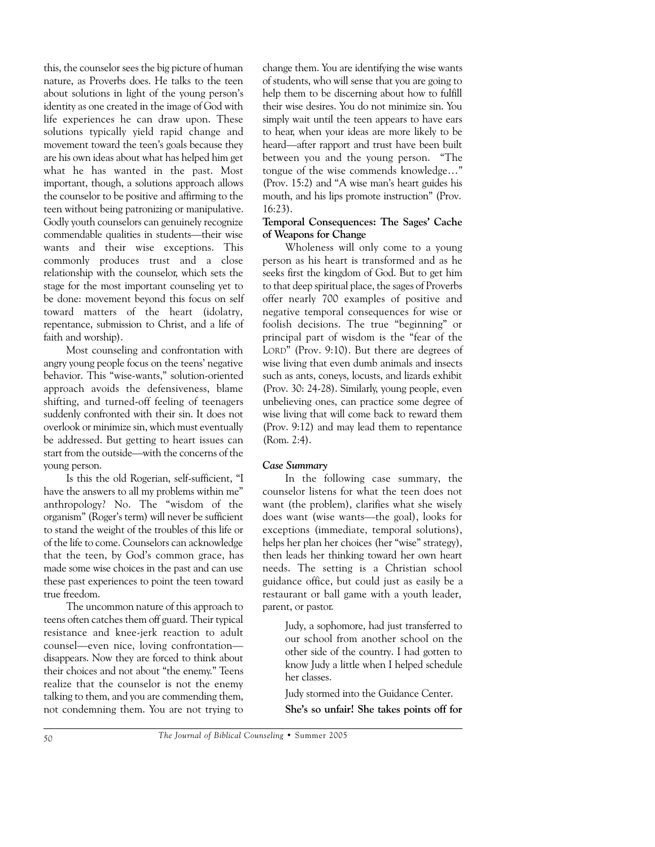this, the counselor sees the big picture of human nature, as Proverbs does. He talks to the teen about solutions in light of the young person's identity as one created in the image of God with life experiences he can draw upon. These solutions typically yield rapid change and movement toward the teen's goals because they are his own ideas about what has helped him get what he has wanted in the past. Most important, though, a solutions approach allows the counselor to be positive and affirming to the teen without being patronizing or manipulative. Godly youth counselors can genuinely recognize commendable qualities in students—their wise wants and their wise exceptions. This commonly produces trust and a close relationship with the counselor, which sets the stage for the most important counseling yet to be done: movement beyond this focus on self toward matters of the heart (idolatry, repentance, submission to Christ, and a life of faith and worship).

Most counseling and confrontation with angry young people focus on the teens' negative behavior. This "wise-wants," solution-oriented approach avoids the defensiveness, blame shifting, and turned-off feeling of teenagers suddenly confronted with their sin. It does not overlook or minimize sin, which must eventually be addressed. But getting to heart issues can start from the outside—with the concerns of the young person.

Is this the old Rogerian, self-sufficient, "I have the answers to all my problems within me" anthropology? No. The "wisdom of the organism" (Roger's term) will never be sufficient to stand the weight of the troubles of this life or of the life to come. Counselors can acknowledge that the teen, by God's common grace, has made some wise choices in the past and can use these past experiences to point the teen toward true freedom.

The uncommon nature of this approach to teens often catches them off guard. Their typical resistance and knee-jerk reaction to adult counsel—even nice, loving confrontation disappears. Now they are forced to think about their choices and not about "the enemy." Teens realize that the counselor is not the enemy talking to them, and you are commending them, not condemning them. You are not trying to change them. You are identifying the wise wants of students, who will sense that you are going to help them to be discerning about how to fulfill their wise desires. You do not minimize sin. You simply wait until the teen appears to have ears to hear, when your ideas are more likely to be heard—after rapport and trust have been built between you and the young person. "The tongue of the wise commends knowledge…" (Prov. 15:2) and "A wise man's heart guides his mouth, and his lips promote instruction" (Prov. 16:23).

#### **Temporal Consequences: The Sages' Cache of Weapons for Change**

Wholeness will only come to a young person as his heart is transformed and as he seeks first the kingdom of God. But to get him to that deep spiritual place, the sages of Proverbs offer nearly 700 examples of positive and negative temporal consequences for wise or foolish decisions. The true "beginning" or principal part of wisdom is the "fear of the LORD" (Prov. 9:10). But there are degrees of wise living that even dumb animals and insects such as ants, coneys, locusts, and lizards exhibit (Prov. 30: 24-28). Similarly, young people, even unbelieving ones, can practice some degree of wise living that will come back to reward them (Prov. 9:12) and may lead them to repentance (Rom. 2:4).

#### *Case Summary*

In the following case summary, the counselor listens for what the teen does not want (the problem), clarifies what she wisely does want (wise wants—the goal), looks for exceptions (immediate, temporal solutions), helps her plan her choices (her "wise" strategy), then leads her thinking toward her own heart needs. The setting is a Christian school guidance office, but could just as easily be a restaurant or ball game with a youth leader, parent, or pastor.

> Judy, a sophomore, had just transferred to our school from another school on the other side of the country. I had gotten to know Judy a little when I helped schedule her classes.

Judy stormed into the Guidance Center. **She's so unfair! She takes points off for**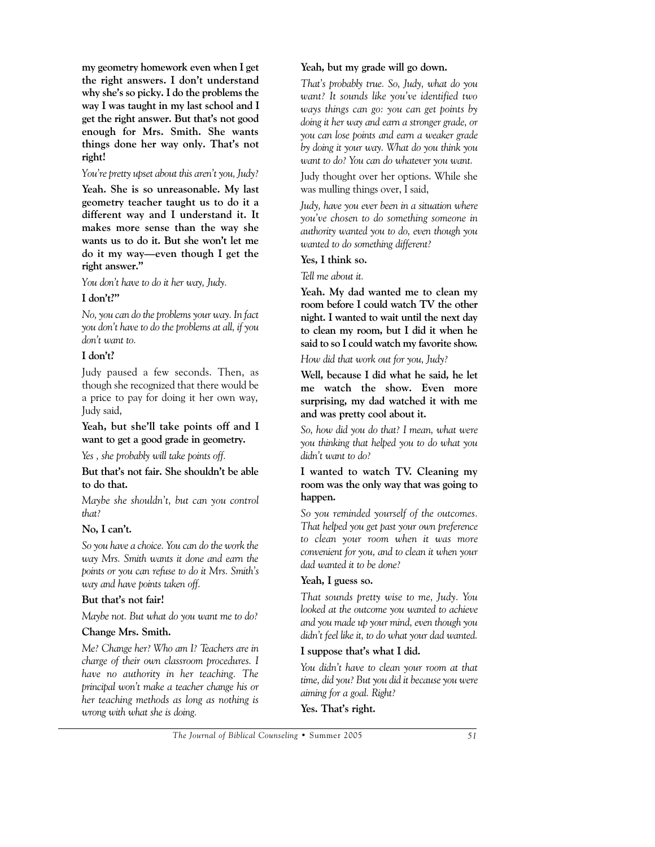**my geometry homework even when I get the right answers. I don't understand why she's so picky. I do the problems the way I was taught in my last school and I get the right answer. But that's not good enough for Mrs. Smith. She wants things done her way only. That's not right!**

#### *You're pretty upset about this aren't you, Judy?*

**Yeah. She is so unreasonable. My last geometry teacher taught us to do it a different way and I understand it. It makes more sense than the way she wants us to do it. But she won't let me do it my way—even though I get the right answer."**

*You don't have to do it her way, Judy.*

# **I don't?"**

*No, you can do the problems your way. In fact you don't have to do the problems at all, if you don't want to.*

# **I don't?**

Judy paused a few seconds. Then, as though she recognized that there would be a price to pay for doing it her own way, Judy said,

**Yeah, but she'll take points off and I want to get a good grade in geometry.**

*Yes , she probably will take points off.*

**But that's not fair. She shouldn't be able to do that.**

*Maybe she shouldn't, but can you control that?*

# **No, I can't.**

*So you have a choice. You can do the work the way Mrs. Smith wants it done and earn the points or you can refuse to do it Mrs. Smith's way and have points taken off.*

# **But that's not fair!**

*Maybe not. But what do you want me to do?*

# **Change Mrs. Smith.**

*Me? Change her? Who am I? Teachers are in charge of their own classroom procedures. I have no authority in her teaching. The principal won't make a teacher change his or her teaching methods as long as nothing is wrong with what she is doing.*

# **Yeah, but my grade will go down.**

*That's probably true. So, Judy, what do you want? It sounds like you've identified two ways things can go: you can get points by doing it her way and earn a stronger grade, or you can lose points and earn a weaker grade by doing it your way. What do you think you want to do? You can do whatever you want.*

Judy thought over her options. While she was mulling things over, I said,

*Judy, have you ever been in a situation where you've chosen to do something someone in authority wanted you to do, even though you wanted to do something different?*

#### **Yes, I think so.**

*Tell me about it.*

**Yeah. My dad wanted me to clean my room before I could watch TV the other night. I wanted to wait until the next day to clean my room, but I did it when he said to so I could watch my favorite show.** 

# *How did that work out for you, Judy?*

**Well, because I did what he said, he let me watch the show. Even more surprising, my dad watched it with me and was pretty cool about it.**

*So, how did you do that? I mean, what were you thinking that helped you to do what you didn't want to do?*

#### **I wanted to watch TV. Cleaning my room was the only way that was going to happen.**

*So you reminded yourself of the outcomes. That helped you get past your own preference to clean your room when it was more convenient for you, and to clean it when your dad wanted it to be done?*

# **Yeah, I guess so.**

*That sounds pretty wise to me, Judy. You looked at the outcome you wanted to achieve and you made up your mind, even though you didn't feel like it, to do what your dad wanted.*

# **I suppose that's what I did.**

*You didn't have to clean your room at that time, did you? But you did it because you were aiming for a goal. Right?*

**Yes. That's right.**